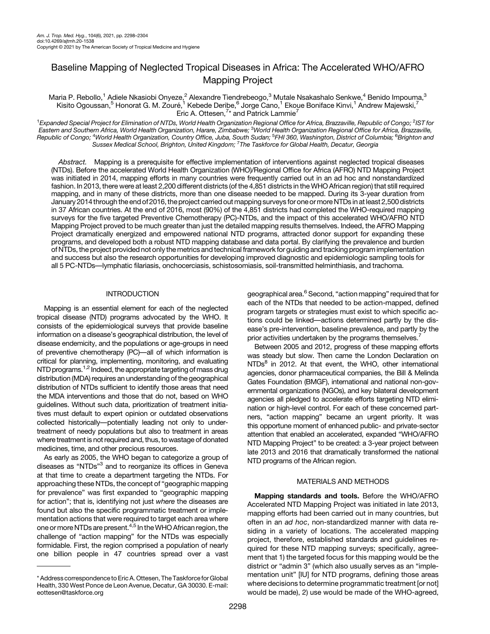# Baseline Mapping of Neglected Tropical Diseases in Africa: The Accelerated WHO/AFRO Mapping Project

Maria P. Rebollo,<sup>1</sup> Adiele Nkasiobi Onyeze,<sup>2</sup> Alexandre Tiendrebeogo,<sup>3</sup> Mutale Nsakashalo Senkwe,<sup>4</sup> Benido Impouma,<sup>3</sup> Kisito Ogoussan,<sup>5</sup> Honorat G. M. Zouré,<sup>1</sup> Kebede Deribe,<sup>6</sup> Jorge Cano,<sup>1</sup> Ekoue Boniface Kinvi,<sup>1</sup> Andrew Majewski,<sup>7</sup> Eric A. Ottesen,<sup>7\*</sup> and Patrick Lammie<sup>7</sup>

<sup>1</sup>Expanded Special Project for Elimination of NTDs, World Health Organization Regional Office for Africa, Brazzaville, Republic of Congo; <sup>2</sup>IST for Eastern and Southern Africa, World Health Organization, Harare, Zimbabwe; <sup>3</sup>World Health Organization Regional Office for Africa, Brazzaville, Republic of Congo; <sup>4</sup>World Health Organization, Country Office, Juba, South Sudan; <sup>5</sup>FHI 360, Washington, District of Columbia; <sup>6</sup>Brighton and Sussex Medical Šchool, Brighton, Únited Kingdom; <sup>7</sup>The Taskforce for Global Health, Decatur, Georgia

Abstract. Mapping is a prerequisite for effective implementation of interventions against neglected tropical diseases (NTDs). Before the accelerated World Health Organization (WHO)/Regional Office for Africa (AFRO) NTD Mapping Project was initiated in 2014, mapping efforts in many countries were frequently carried out in an ad hoc and nonstandardized fashion. In 2013, there were at least 2,200 different districts (of the 4,851 districts in the WHO African region) that still required mapping, and in many of these districts, more than one disease needed to be mapped. During its 3-year duration from January 2014 through the end of 2016, the project carried out mapping surveysfor one ormore NTDs in at least 2,500 districts in 37 African countries. At the end of 2016, most (90%) of the 4,851 districts had completed the WHO-required mapping surveys for the five targeted Preventive Chemotherapy (PC)-NTDs, and the impact of this accelerated WHO/AFRO NTD Mapping Project proved to be much greater than just the detailed mapping results themselves. Indeed, the AFRO Mapping Project dramatically energized and empowered national NTD programs, attracted donor support for expanding these programs, and developed both a robust NTD mapping database and data portal. By clarifying the prevalence and burden of NTDs, the project provided not only the metrics and technical framework for guiding and tracking program implementation and success but also the research opportunities for developing improved diagnostic and epidemiologic sampling tools for all 5 PC-NTDs—lymphatic filariasis, onchocerciasis, schistosomiasis, soil-transmitted helminthiasis, and trachoma.

# **INTRODUCTION**

Mapping is an essential element for each of the neglected tropical disease (NTD) programs advocated by the WHO. It consists of the epidemiological surveys that provide baseline information on a disease's geographical distribution, the level of disease endemicity, and the populations or age-groups in need of preventive chemotherapy (PC)—all of which information is critical for planning, implementing, monitoring, and evaluating NTD programs.<sup>[1](#page-5-0),[2](#page-5-0)</sup> Indeed, the appropriate targeting of mass drug distribution (MDA) requires an understanding of the geographical distribution of NTDs sufficient to identify those areas that need the MDA interventions and those that do not, based on WHO guidelines. Without such data, prioritization of treatment initiatives must default to expert opinion or outdated observations collected historically—potentially leading not only to undertreatment of needy populations but also to treatment in areas where treatment is not required and, thus, to wastage of donated medicines, time, and other precious resources.

As early as 2005, the WHO began to categorize a group of diseases as "NTDs"<sup>[3](#page-5-0)</sup> and to reorganize its offices in Geneva at that time to create a department targeting the NTDs. For approaching these NTDs, the concept of "geographic mapping for prevalence" was first expanded to "geographic mapping for action"; that is, identifying not just where the diseases are found but also the specific programmatic treatment or implementation actions that were required to target each area where one or more NTDs are present.<sup>4,[5](#page-6-0)</sup> In the WHO African region, the challenge of "action mapping" for the NTDs was especially formidable. First, the region comprised a population of nearly one billion people in 47 countries spread over a vast

geographical area.<sup>6</sup> Second, "action mapping" required that for each of the NTDs that needed to be action-mapped, defined program targets or strategies must exist to which specific actions could be linked—actions determined partly by the disease's pre-intervention, baseline prevalence, and partly by the prior activities undertaken by the programs themselves.<sup>7</sup>

Between 2005 and 2012, progress of these mapping efforts was steady but slow. Then came the London Declaration on  $NTDs<sup>8</sup>$  $NTDs<sup>8</sup>$  $NTDs<sup>8</sup>$  in 2012. At that event, the WHO, other international agencies, donor pharmaceutical companies, the Bill & Melinda Gates Foundation (BMGF), international and national non-governmental organizations (NGOs), and key bilateral development agencies all pledged to accelerate efforts targeting NTD elimination or high-level control. For each of these concerned partners, "action mapping" became an urgent priority. It was this opportune moment of enhanced public- and private-sector attention that enabled an accelerated, expanded "WHO/AFRO NTD Mapping Project" to be created: a 3-year project between late 2013 and 2016 that dramatically transformed the national NTD programs of the African region.

## MATERIALS AND METHODS

Mapping standards and tools. Before the WHO/AFRO Accelerated NTD Mapping Project was initiated in late 2013, mapping efforts had been carried out in many countries, but often in an ad hoc, non-standardized manner with data residing in a variety of locations. The accelerated mapping project, therefore, established standards and guidelines required for these NTD mapping surveys; specifically, agreement that 1) the targeted focus for this mapping would be the district or "admin 3" (which also usually serves as an "implementation unit" [IU] for NTD programs, defining those areas where decisions to determine programmatic treatment [or not] would be made), 2) use would be made of the WHO-agreed,

<sup>\*</sup> Address correspondence to Eric A. Ottesen, The Taskforcefor Global Health, 330 West Ponce de Leon Avenue, Decatur, GA 30030. E-mail: [eottesen@taskforce.org](mailto:eottesen@taskforce.org)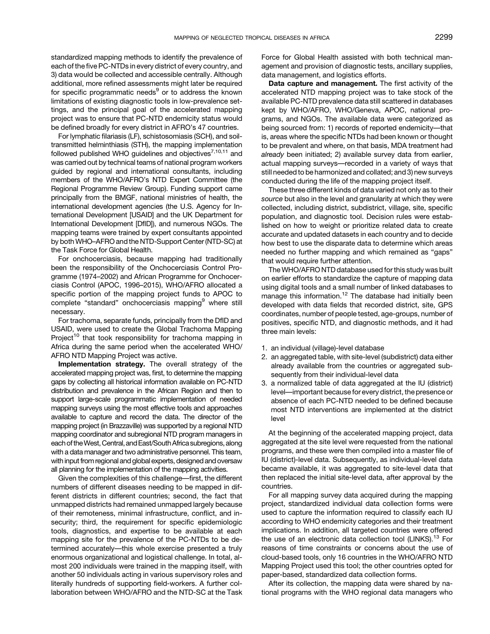standardized mapping methods to identify the prevalence of each of the five PC-NTDs in every district of every country, and 3) data would be collected and accessible centrally. Although additional, more refined assessments might later be required for specific programmatic needs<sup>[9](#page-6-0)</sup> or to address the known limitations of existing diagnostic tools in low-prevalence settings, and the principal goal of the accelerated mapping project was to ensure that PC-NTD endemicity status would be defined broadly for every district in AFRO's 47 countries.

For lymphatic filariasis (LF), schistosomiasis (SCH), and soiltransmitted helminthiasis (STH), the mapping implementation followed published WHO guidelines and objectives $^{7,10,11}$  $^{7,10,11}$  $^{7,10,11}$  $^{7,10,11}$  $^{7,10,11}$  and was carried out by technical teams of national program workers guided by regional and international consultants, including members of the WHO/AFRO's NTD Expert Committee (the Regional Programme Review Group). Funding support came principally from the BMGF, national ministries of health, the international development agencies (the U.S. Agency for International Development [USAID] and the UK Department for International Development [DfID]), and numerous NGOs. The mapping teams were trained by expert consultants appointed by both WHO–AFRO and the NTD-Support Center (NTD-SC) at the Task Force for Global Health.

For onchocerciasis, because mapping had traditionally been the responsibility of the Onchocerciasis Control Programme (1974–2002) and African Programme for Onchocerciasis Control (APOC, 1996–2015), WHO/AFRO allocated a specific portion of the mapping project funds to APOC to complete "standard" onchocerciasis mapping<sup>[9](#page-6-0)</sup> where still necessary.

For trachoma, separate funds, principally from the DfID and USAID, were used to create the Global Trachoma Mapping Project<sup>[10](#page-6-0)</sup> that took responsibility for trachoma mapping in Africa during the same period when the accelerated WHO/ AFRO NTD Mapping Project was active.

Implementation strategy. The overall strategy of the accelerated mapping project was, first, to determine the mapping gaps by collecting all historical information available on PC-NTD distribution and prevalence in the African Region and then to support large-scale programmatic implementation of needed mapping surveys using the most effective tools and approaches available to capture and record the data. The director of the mapping project (in Brazzaville) was supported by a regional NTD mapping coordinator and subregional NTD program managers in each of the West, Central, and East/South Africa subregions, along with a data manager and two administrative personnel. This team, with input from regional and global experts, designed and oversaw all planning for the implementation of the mapping activities.

Given the complexities of this challenge—first, the different numbers of different diseases needing to be mapped in different districts in different countries; second, the fact that unmapped districts had remained unmapped largely because of their remoteness, minimal infrastructure, conflict, and insecurity; third, the requirement for specific epidemiologic tools, diagnostics, and expertise to be available at each mapping site for the prevalence of the PC-NTDs to be determined accurately—this whole exercise presented a truly enormous organizational and logistical challenge. In total, almost 200 individuals were trained in the mapping itself, with another 50 individuals acting in various supervisory roles and literally hundreds of supporting field-workers. A further collaboration between WHO/AFRO and the NTD-SC at the Task Force for Global Health assisted with both technical management and provision of diagnostic tests, ancillary supplies, data management, and logistics efforts.

Data capture and management. The first activity of the accelerated NTD mapping project was to take stock of the available PC-NTD prevalence data still scattered in databases kept by WHO/AFRO, WHO/Geneva, APOC, national programs, and NGOs. The available data were categorized as being sourced from: 1) records of reported endemicity—that is, areas where the specific NTDs had been known or thought to be prevalent and where, on that basis, MDA treatment had already been initiated; 2) available survey data from earlier, actual mapping surveys—recorded in a variety of ways that still needed to be harmonized and collated; and 3) new surveys conducted during the life of the mapping project itself.

These three different kinds of data varied not only as to their source but also in the level and granularity at which they were collected, including district, subdistrict, village, site, specific population, and diagnostic tool. Decision rules were established on how to weight or prioritize related data to create accurate and updated datasets in each country and to decide how best to use the disparate data to determine which areas needed no further mapping and which remained as "gaps" that would require further attention.

The WHO/AFRO NTD database used for this study was built on earlier efforts to standardize the capture of mapping data using digital tools and a small number of linked databases to manage this information.<sup>[12](#page-6-0)</sup> The database had initially been developed with data fields that recorded district, site, GPS coordinates, number of people tested, age-groups, number of positives, specific NTD, and diagnostic methods, and it had three main levels:

- 1. an individual (village)-level database
- 2. an aggregated table, with site-level (subdistrict) data either already available from the countries or aggregated subsequently from their individual-level data
- 3. a normalized table of data aggregated at the IU (district) level—important because for every district, the presence or absence of each PC-NTD needed to be defined because most NTD interventions are implemented at the district level

At the beginning of the accelerated mapping project, data aggregated at the site level were requested from the national programs, and these were then compiled into a master file of IU (district)-level data. Subsequently, as individual-level data became available, it was aggregated to site-level data that then replaced the initial site-level data, after approval by the countries.

For all mapping survey data acquired during the mapping project, standardized individual data collection forms were used to capture the information required to classify each IU according to WHO endemicity categories and their treatment implications. In addition, all targeted countries were offered the use of an electronic data collection tool (LINKS).<sup>[13](#page-6-0)</sup> For reasons of time constraints or concerns about the use of cloud-based tools, only 16 countries in the WHO/AFRO NTD Mapping Project used this tool; the other countries opted for paper-based, standardized data collection forms.

After its collection, the mapping data were shared by national programs with the WHO regional data managers who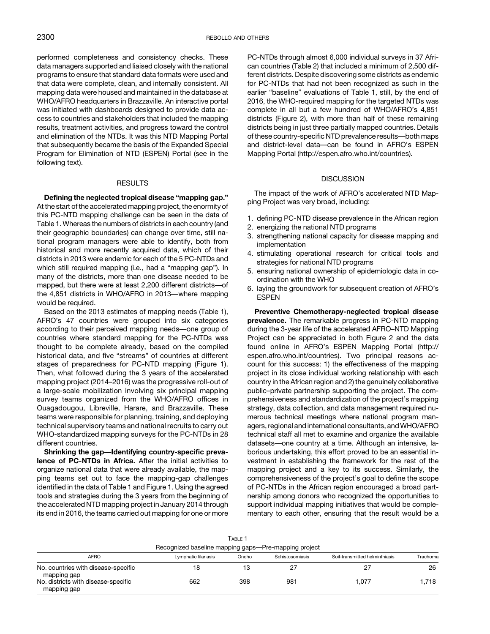performed completeness and consistency checks. These data managers supported and liaised closely with the national programs to ensure that standard data formats were used and that data were complete, clean, and internally consistent. All mapping data were housed and maintained in the database at WHO/AFRO headquarters in Brazzaville. An interactive portal was initiated with dashboards designed to provide data access to countries and stakeholders that included the mapping results, treatment activities, and progress toward the control and elimination of the NTDs. It was this NTD Mapping Portal that subsequently became the basis of the Expanded Special Program for Elimination of NTD (ESPEN) Portal (see in the following text).

#### RESULTS

Defining the neglected tropical disease "mapping gap." At the start of the accelerated mapping project, the enormity of this PC-NTD mapping challenge can be seen in the data of Table 1. Whereas the numbers of districts in each country (and their geographic boundaries) can change over time, still national program managers were able to identify, both from historical and more recently acquired data, which of their districts in 2013 were endemic for each of the 5 PC-NTDs and which still required mapping (i.e., had a "mapping gap"). In many of the districts, more than one disease needed to be mapped, but there were at least 2,200 different districts—of the 4,851 districts in WHO/AFRO in 2013—where mapping would be required.

Based on the 2013 estimates of mapping needs (Table 1), AFRO's 47 countries were grouped into six categories according to their perceived mapping needs—one group of countries where standard mapping for the PC-NTDs was thought to be complete already, based on the compiled historical data, and five "streams" of countries at different stages of preparedness for PC-NTD mapping ([Figure 1](#page-3-0)). Then, what followed during the 3 years of the accelerated mapping project (2014–2016) was the progressive roll-out of a large-scale mobilization involving six principal mapping survey teams organized from the WHO/AFRO offices in Ouagadougou, Libreville, Harare, and Brazzaville. These teams were responsible for planning, training, and deploying technical supervisory teams and national recruits to carry out WHO-standardized mapping surveys for the PC-NTDs in 28 different countries.

Shrinking the gap—Identifying country-specific prevalence of PC-NTDs in Africa. After the initial activities to organize national data that were already available, the mapping teams set out to face the mapping-gap challenges identified in the data of Table 1 and [Figure 1](#page-3-0). Using the agreed tools and strategies during the 3 years from the beginning of the accelerated NTD mapping project in January 2014 through its end in 2016, the teams carried out mapping for one or more

PC-NTDs through almost 6,000 individual surveys in 37 African countries [\(Table 2](#page-4-0)) that included a minimum of 2,500 different districts. Despite discovering some districts as endemic for PC-NTDs that had not been recognized as such in the earlier "baseline" evaluations of Table 1, still, by the end of 2016, the WHO-required mapping for the targeted NTDs was complete in all but a few hundred of WHO/AFRO's 4,851 districts (Figure 2), with more than half of these remaining districts being in just three partially mapped countries. Details of these country-specific NTD prevalence results—both maps and district-level data—can be found in AFRO's ESPEN Mapping Portal [\(http://espen.afro.who.int/countries](http://espen.afro.who.int/countries)).

## **DISCUSSION**

The impact of the work of AFRO's accelerated NTD Mapping Project was very broad, including:

- 1. defining PC-NTD disease prevalence in the African region
- 2. energizing the national NTD programs
- 3. strengthening national capacity for disease mapping and implementation
- 4. stimulating operational research for critical tools and strategies for national NTD programs
- 5. ensuring national ownership of epidemiologic data in coordination with the WHO
- 6. laying the groundwork for subsequent creation of AFRO's ESPEN

Preventive Chemotherapy-neglected tropical disease prevalence. The remarkable progress in PC-NTD mapping during the 3-year life of the accelerated AFRO–NTD Mapping Project can be appreciated in both Figure 2 and the data found online in AFRO's ESPEN Mapping Portal [\(http://](http://espen.afro.who.int/countries) [espen.afro.who.int/countries](http://espen.afro.who.int/countries)). Two principal reasons account for this success: 1) the effectiveness of the mapping project in its close individual working relationship with each country in the African region and 2) the genuinely collaborative public–private partnership supporting the project. The comprehensiveness and standardization of the project's mapping strategy, data collection, and data management required numerous technical meetings where national program managers, regional and international consultants, andWHO/AFRO technical staff all met to examine and organize the available datasets—one country at a time. Although an intensive, laborious undertaking, this effort proved to be an essential investment in establishing the framework for the rest of the mapping project and a key to its success. Similarly, the comprehensiveness of the project's goal to define the scope of PC-NTDs in the African region encouraged a broad partnership among donors who recognized the opportunities to support individual mapping initiatives that would be complementary to each other, ensuring that the result would be a

| Table 1                                              |                      |       |                 |                                |          |  |  |  |  |
|------------------------------------------------------|----------------------|-------|-----------------|--------------------------------|----------|--|--|--|--|
| Recognized baseline mapping gaps—Pre-mapping project |                      |       |                 |                                |          |  |  |  |  |
| <b>AFRO</b>                                          | Lymphatic filariasis | Oncho | Schistosomiasis | Soil-transmitted helminthiasis | Trachoma |  |  |  |  |
| No. countries with disease-specific<br>mapping gap   | 18                   | 13    |                 | 27                             | 26       |  |  |  |  |
| No. districts with disease-specific<br>mapping gap   | 662                  | 398   | 981             | 1.077                          | 1.718    |  |  |  |  |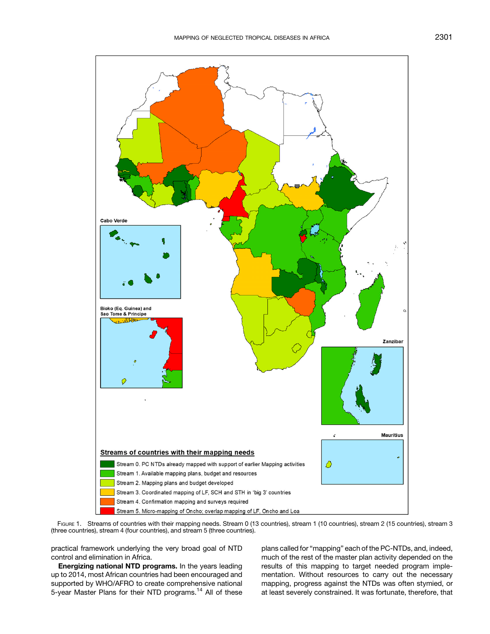<span id="page-3-0"></span>

FIGURE 1. Streams of countries with their mapping needs. Stream 0 (13 countries), stream 1 (10 countries), stream 2 (15 countries), stream 3 (three countries), stream 4 (four countries), and stream 5 (three countries).

practical framework underlying the very broad goal of NTD control and elimination in Africa.

Energizing national NTD programs. In the years leading up to 2014, most African countries had been encouraged and supported by WHO/AFRO to create comprehensive national 5-year Master Plans for their NTD programs.[14](#page-6-0) All of these plans called for "mapping" each of the PC-NTDs, and, indeed, much of the rest of the master plan activity depended on the results of this mapping to target needed program implementation. Without resources to carry out the necessary mapping, progress against the NTDs was often stymied, or at least severely constrained. It was fortunate, therefore, that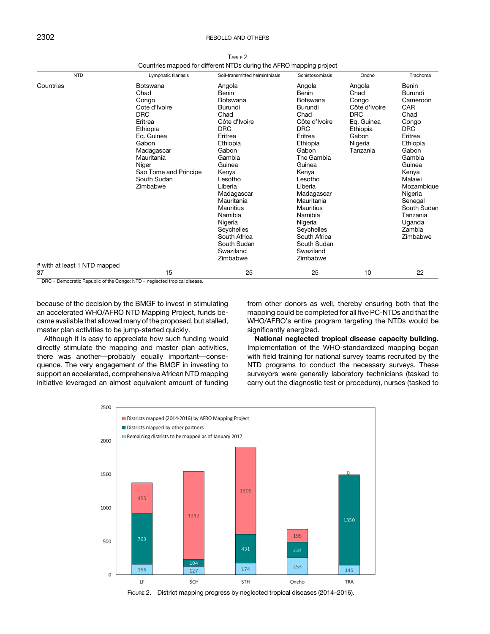# <span id="page-4-0"></span>2302 **REBOLLO AND OTHERS**

| <b>NTD</b>                                | Lymphatic filariasis                                                                                                                                                                            | Soil-transmitted helminthiasis                                                                                                                                                                                                                                                                               | Schistosomiasis                                                                                                                                                                                                                                                                                           | Oncho                                                                                                            | Trachoma                                                                                                                                                                                                                                 |
|-------------------------------------------|-------------------------------------------------------------------------------------------------------------------------------------------------------------------------------------------------|--------------------------------------------------------------------------------------------------------------------------------------------------------------------------------------------------------------------------------------------------------------------------------------------------------------|-----------------------------------------------------------------------------------------------------------------------------------------------------------------------------------------------------------------------------------------------------------------------------------------------------------|------------------------------------------------------------------------------------------------------------------|------------------------------------------------------------------------------------------------------------------------------------------------------------------------------------------------------------------------------------------|
| Countries<br># with at least 1 NTD mapped | Botswana<br>Chad<br>Congo<br>Cote d'Ivoire<br><b>DRC</b><br>Eritrea<br>Ethiopia<br>Eq. Guinea<br>Gabon<br>Madagascar<br>Mauritania<br>Niger<br>Sao Tome and Principe<br>South Sudan<br>Zimbabwe | Angola<br>Benin<br><b>Botswana</b><br>Burundi<br>Chad<br>Côte d'Ivoire<br><b>DRC</b><br>Eritrea<br>Ethiopia<br>Gabon<br>Gambia<br>Guinea<br>Kenya<br>Lesotho<br>Liberia<br>Madagascar<br>Mauritania<br>Mauritius<br>Namibia<br>Nigeria<br>Seychelles<br>South Africa<br>South Sudan<br>Swaziland<br>Zimbabwe | Angola<br>Benin<br>Botswana<br>Burundi<br>Chad<br>Côte d'Ivoire<br><b>DRC</b><br>Eritrea<br>Ethiopia<br>Gabon<br>The Gambia<br>Guinea<br>Kenya<br>Lesotho<br>Liberia<br>Madagascar<br>Mauritania<br>Mauritius<br>Namibia<br>Nigeria<br>Seychelles<br>South Africa<br>South Sudan<br>Swaziland<br>Zimbabwe | Angola<br>Chad<br>Congo<br>Côte d'Ivoire<br><b>DRC</b><br>Eq. Guinea<br>Ethiopia<br>Gabon<br>Nigeria<br>Tanzania | Benin<br>Burundi<br>Cameroon<br>CAR<br>Chad<br>Congo<br><b>DRC</b><br>Eritrea<br>Ethiopia<br>Gabon<br>Gambia<br>Guinea<br>Kenya<br>Malawi<br>Mozambique<br>Nigeria<br>Senegal<br>South Sudan<br>Tanzania<br>Uganda<br>Zambia<br>Zimbabwe |
| 37                                        | 15                                                                                                                                                                                              | 25                                                                                                                                                                                                                                                                                                           | 25                                                                                                                                                                                                                                                                                                        | 10                                                                                                               | 22                                                                                                                                                                                                                                       |

TABLE 2 Countries mapped for different NTDs during the AFRO mapping project

DRC = Democratic Republic of the Congo; NTD = neglected tropical disease.

because of the decision by the BMGF to invest in stimulating an accelerated WHO/AFRO NTD Mapping Project, funds became available that allowed many of the proposed, but stalled, master plan activities to be jump-started quickly.

Although it is easy to appreciate how such funding would directly stimulate the mapping and master plan activities, there was another—probably equally important—consequence. The very engagement of the BMGF in investing to support an accelerated, comprehensive African NTD mapping initiative leveraged an almost equivalent amount of funding from other donors as well, thereby ensuring both that the mapping could be completed for all five PC-NTDs and that the WHO/AFRO's entire program targeting the NTDs would be significantly energized.

National neglected tropical disease capacity building. Implementation of the WHO-standardized mapping began with field training for national survey teams recruited by the NTD programs to conduct the necessary surveys. These surveyors were generally laboratory technicians (tasked to carry out the diagnostic test or procedure), nurses (tasked to

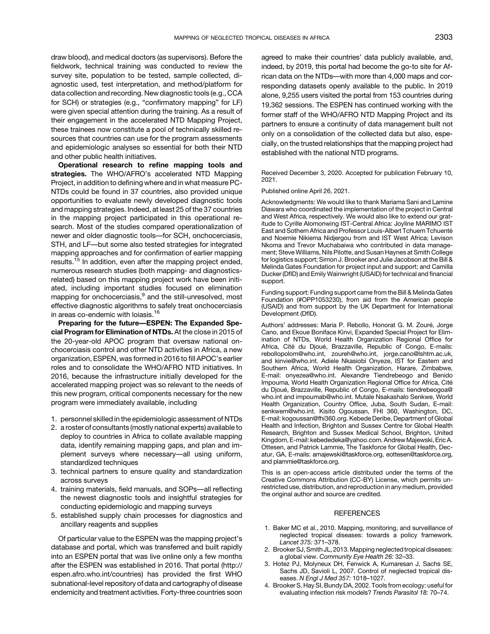<span id="page-5-0"></span>draw blood), and medical doctors (as supervisors). Before the fieldwork, technical training was conducted to review the survey site, population to be tested, sample collected, diagnostic used, test interpretation, and method/platform for data collection and recording. New diagnostic tools (e.g., CCA for SCH) or strategies (e.g., "confirmatory mapping" for LF) were given special attention during the training. As a result of their engagement in the accelerated NTD Mapping Project, these trainees now constitute a pool of technically skilled resources that countries can use for the program assessments and epidemiologic analyses so essential for both their NTD and other public health initiatives.

Operational research to refine mapping tools and strategies. The WHO/AFRO's accelerated NTD Mapping Project, in addition to defining where and in what measure PC-NTDs could be found in 37 countries, also provided unique opportunities to evaluate newly developed diagnostic tools and mapping strategies. Indeed, at least 25 of the 37 countries in the mapping project participated in this operational research. Most of the studies compared operationalization of newer and older diagnostic tools—for SCH, onchocerciasis, STH, and LF—but some also tested strategies for integrated mapping approaches and for confirmation of earlier mapping results.<sup>[15](#page-6-0)</sup> In addition, even after the mapping project ended, numerous research studies (both mapping- and diagnosticsrelated) based on this mapping project work have been initiated, including important studies focused on elimination mapping for onchocerciasis,<sup>[9](#page-6-0)</sup> and the still-unresolved, most effective diagnostic algorithms to safely treat onchocerciasis in areas co-endemic with loiasis.<sup>[16](#page-6-0)</sup>

Preparing for the future—ESPEN: The Expanded Special Program for Elimination of NTDs. At the close in 2015 of the 20-year-old APOC program that oversaw national onchocerciasis control and other NTD activities in Africa, a new organization, ESPEN, was formed in 2016 to fill APOC's earlier roles and to consolidate the WHO/AFRO NTD initiatives. In 2016, because the infrastructure initially developed for the accelerated mapping project was so relevant to the needs of this new program, critical components necessary for the new program were immediately available, including

- 1. personnel skilled in the epidemiologic assessment of NTDs
- 2. a roster of consultants (mostly national experts) available to deploy to countries in Africa to collate available mapping data, identify remaining mapping gaps, and plan and implement surveys where necessary—all using uniform, standardized techniques
- 3. technical partners to ensure quality and standardization across surveys
- 4. training materials, field manuals, and SOPs—all reflecting the newest diagnostic tools and insightful strategies for conducting epidemiologic and mapping surveys
- 5. established supply chain processes for diagnostics and ancillary reagents and supplies

Of particular value to the ESPEN was the mapping project's database and portal, which was transferred and built rapidly into an ESPEN portal that was live online only a few months after the ESPEN was established in 2016. That portal ([http://](http://espen.afro.who.int/countries) [espen.afro.who.int/countries\)](http://espen.afro.who.int/countries) has provided the first WHO subnational-level repository of data and cartography of disease endemicity and treatment activities. Forty-three countries soon agreed to make their countries' data publicly available, and, indeed, by 2019, this portal had become the go-to site for African data on the NTDs—with more than 4,000 maps and corresponding datasets openly available to the public. In 2019 alone, 9,255 users visited the portal from 153 countries during 19,362 sessions. The ESPEN has continued working with the former staff of the WHO/AFRO NTD Mapping Project and its partners to ensure a continuity of data management built not only on a consolidation of the collected data but also, especially, on the trusted relationships that the mapping project had established with the national NTD programs.

Received December 3, 2020. Accepted for publication February 10, 2021.

Published online April 26, 2021.

Acknowledgments: We would like to thank Mariama Sani and Lamine Diawara who coordinated the implementation of the project in Central and West Africa, respectively. We would also like to extend our gratitude to Cyrille Alomonwing IST-Central Africa: Joyline MARIMO IST East and Sothern Africa and Professor Louis-Albert Tchuem Tchuenté and Noemie Nikiema Nidjergou from and IST West Africa; Levison Nkoma and Trevor Muchabaiwa who contributed in data management; Steve Williams, Nils Pilotte, and Susan Haynes at Smith College for logistics support; Simon J. Brooker and Julie Jacobson at the Bill & Melinda Gates Foundation for project input and support; and Camilla Ducker (DfID) and Emily Wainwright (USAID) for technical and financial support.

Funding support: Funding support came from the Bill & Melinda Gates Foundation (#OPP1053230), from aid from the American people (USAID) and from support by the UK Department for International Development (DfID).

Authors' addresses: Maria P. Rebollo, Honorat G. M. Zouré, Jorge Cano, and Ekoue Boniface Kinvi, Expanded Special Project for Elimination of NTDs, World Health Organization Regional Office for Africa, Cité du Djoué, Brazzaville, Republic of Congo, E-mails: [rebollopolom@who.int,](mailto:rebollopolom@who.int) [zoureh@who.int](mailto:zoureh@who.int), [jorge.cano@lshtm.ac.uk,](mailto:jorge.cano@lshtm.ac.uk) and [kinvie@who.int.](mailto:kinvie@who.int) Adiele Nkasiobi Onyeze, IST for Eastern and Southern Africa, World Health Organization, Harare, Zimbabwe, E-mail: [onyezea@who.int](mailto:onyezea@who.int). Alexandre Tiendrebeogo and Benido Impouma, World Health Organization Regional Office for Africa, Cité du Djoué, Brazzaville, Republic of Congo, E-mails: [tiendrebeogoa@](mailto:tiendrebeogoa@who.int) [who.int](mailto:tiendrebeogoa@who.int) and [impoumab@who.int](mailto:impoumab@who.int). Mutale Nsakashalo Senkwe, World Health Organization, Country Office, Juba, South Sudan, E-mail: [senkwem@who.int](mailto:senkwem@who.int). Kisito Ogoussan, FHI 360, Washington, DC, E-mail: [kogoussan@fhi360.org](mailto:kogoussan@fhi360.org). Kebede Deribe, Department of Global Health and Infection, Brighton and Sussex Centre for Global Health Research, Brighton and Sussex Medical School, Brighton, United Kingdom, E-mail: [kebededeka@yahoo.com](mailto:kebededeka@yahoo.com). Andrew Majewski, Eric A. Ottesen, and Patrick Lammie, The Taskforce for Global Health, Decatur, GA, E-mails: [amajewski@taskforce.org](mailto:amajewski@taskforce.org), [eottesen@taskforce.org,](mailto:eottesen@taskforce.org) and [plammie@taskforce.org](mailto:plammie@taskforce.org).

This is an open-access article distributed under the terms of the [Creative Commons Attribution \(CC-BY\) License](https://creativecommons.org/licenses/by/4.0/), which permits unrestricted use, distribution, and reproduction in any medium, provided the original author and source are credited.

#### **REFERENCES**

- 1. Baker MC et al., 2010. Mapping, monitoring, and surveillance of neglected tropical diseases: towards a policy framework. Lancet 375: 371–378.
- 2. Brooker SJ, Smith JL, 2013. Mapping neglected tropical diseases: a global view. Community Eye Health 26: 32–33.
- 3. Hotez PJ, Molyneux DH, Fenwick A, Kumaresan J, Sachs SE, Sachs JD, Savioli L, 2007. Control of neglected tropical diseases. N Engl J Med 357: 1018–1027.
- 4. Brooker S, Hay SI, Bundy DA, 2002. Tools from ecology: useful for evaluating infection risk models? Trends Parasitol 18: 70–74.